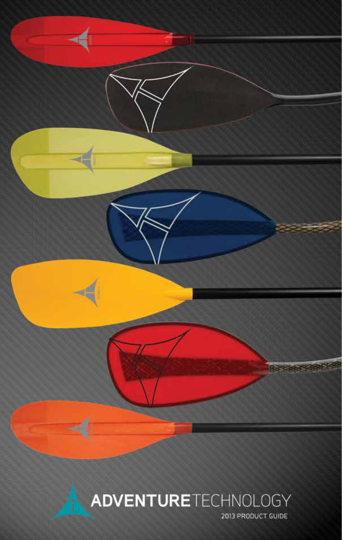

# **ADVENTURE**TECHNOLOGY

2013 PRODUCT GUIDE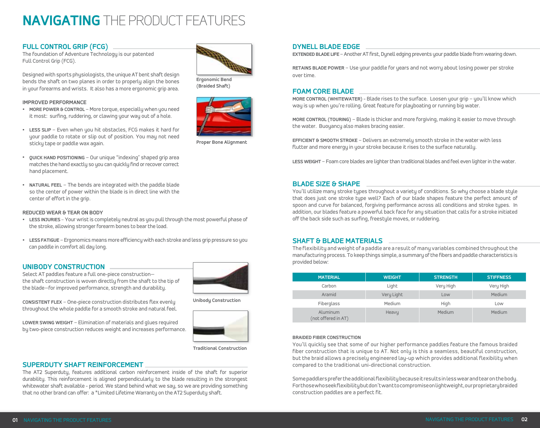# **NAVIGATING** THE PRODUCT FEATURES

### **FULL CONTROL GRIP (FCG)**

The foundation of Adventure Technology is our patented Full Control Grip (FCG).

Designed with sports physiologists, the unique AT bent shaft design bends the shaft on two planes in order to properly align the bones in your forearms and wrists. It also has a more ergonomic grip area.

#### **Improved Performance**

- **• More Power & Control** More torque, especially when you need it most: surfing, ruddering, or clawing your way out of a hole.
- **• Less Slip** Even when you hit obstacles, FCG makes it hard for your paddle to rotate or slip out of position. You may not need sticky tape or paddle wax again.



**(Braided Shaft)**



**Proper Bone Alignment**

- **• Quick Hand Positioning** Our unique "indexing" shaped grip area matches the hand exactly so you can quickly find or recover correct hand placement.
- **• Natural Feel** The bends are integrated with the paddle blade so the center of power within the blade is in direct line with the center of effort in the grip.

#### **Reduced Wear & Tear on Body**

- **• Less Injuries** Your wrist is completely neutral as you pull through the most powerful phase of the stroke, allowing stronger forearm bones to bear the load.
- **• Less fatigue** Ergonomics means more efficiency with each stroke and less grip pressure so you can paddle in comfort all day long.

### **UNIBODY CONSTRUCTION**

Select AT paddles feature a full one-piece construction the shaft construction is woven directly from the shaft to the tip of the blade—for improved performance, strength and durability.



**Consistent Flex** – One-piece construction distributes flex evenly throughout the whole paddle for a smooth stroke and natural feel.

**Lower Swing Weight** – Elimination of materials and glues required by two-piece construction reduces weight and increases performance. **Unibody Construction**



**Traditional Construction**

### **SUPERDUTY SHAFT REINFORCEMENT**

The AT2 Superduty, features additional carbon reinforcement inside of the shaft for superior durability. This reinforcement is aligned perpendicularly to the blade resulting in the strongest whitewater shaft available - period. We stand behind what we say, so we are providing something that no other brand can offer: a \*Limited Lifetime Warranty on the AT2 Superduty shaft.

#### **DYNELL BLADE EDGE**

**Extended Blade Life** – Another AT first, Dynell edging prevents your paddle blade from wearing down.

**Retains Blade Power** – Use your paddle for years and not worry about losing power per stroke over time.

#### **FOAM CORE BLADE**

**More Control (Whitewater)** - Blade rises to the surface. Loosen your grip – you'll know which way is up when you're rolling. Great feature for playboating or running big water.

**More Control (Touring)** – Blade is thicker and more forgiving, making it easier to move through the water. Buoyancy also makes bracing easier.

**Efficient & Smooth Stroke** – Delivers an extremely smooth stroke in the water with less flutter and more energy in your stroke because it rises to the surface naturally.

**Less Weight** – Foam core blades are lighter than traditional blades and feel even lighter in the water.

#### **BLADE SIZE & SHAPE**

You'll utilize many stroke types throughout a variety of conditions. So why choose a blade style that does just one stroke type well? Each of our blade shapes feature the perfect amount of spoon and curve for balanced, forgiving performance across all conditions and stroke types. In addition, our blades feature a powerful back face for any situation that calls for a stroke initiated off the back side such as surfing, freestyle moves, or ruddering.

### **SHAFT & BLADE MATERIALS**

The flexibility and weight of a paddle are a result of many variables combined throughout the manufacturing process. To keep things simple, a summary of the fibers and paddle characteristics is provided below:

| <b>MATERIAL</b>                        | <b>WEIGHT</b> | <b>STRENGTH</b> | <b>STIFFNESS</b> |
|----------------------------------------|---------------|-----------------|------------------|
| Carbon                                 | Light         | Very High       | Very High        |
| Aramid                                 | Very Light    | Low             | Medium           |
| Fiberglass                             | Medium        | High            | Low              |
| <b>Aluminum</b><br>(not offered in AT) | Heavy         | Medium          | Medium           |

#### **Braided fiber construction**

You'll quickly see that some of our higher performance paddles feature the famous braided fiber construction that is unique to AT. Not only is this a seamless, beautiful construction, but the braid allows a precisely engineered lay-up which provides additional flexibility when compared to the traditional uni-directional construction.

Some paddlers prefer the additional flexibility because it results in less wear and tear on the body. For those who seek flexibility but don't want to compromise on lightweight, our proprietarybraided construction paddles are a perfect fit.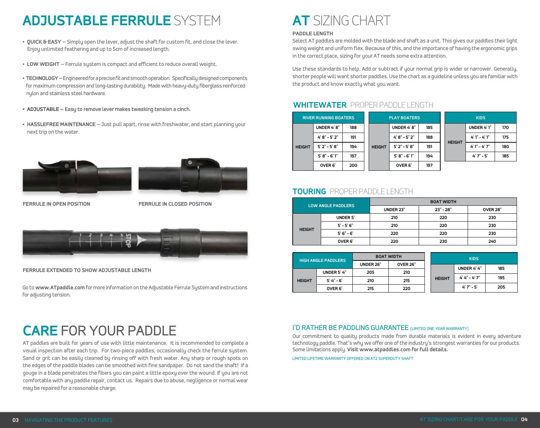# **ADJUSTABLE FERRULE** SYSTEM **AT** SIZING CHART

- **Quick & Easy** Simply open the lever, adjust the shaft for custom fit, and close the lever. Enjoy unlimited feathering and up to 5cm of increased length.
- **Low WeighT** Ferrule system is compact and efficient to reduce overall weight.
- **Technology –** Engineered for a precise fit and smooth operation. Specifically designed components for maximum compression and long-lasting durability. Made with heavy-duty fiberglass reinforced nylon and stainless steel hardware.
- **ADJUSTABLE** Easy to remove lever makes tweaking tension a cinch.
- **HASSLEFREE MAINTENANCE** Just pull apart, rinse with freshwater, and start planning your next trip on the water.





**Ferrule in open position**

**Ferrule in closed position**



**Ferrule extended to show adjustable length**

Go to **www.ATpaddle.com** for more information on the Adjustable Ferrule System and instructions for adjusting tension.

# **CARE** FOR YOUR PADDLE

AT paddles are built for years of use with little maintenance. It is recommended to complete a visual inspection after each trip. For two-piece paddles, occasionally check the ferrule system. Sand or grit can be easily cleaned by rinsing off with fresh water. Any sharp or rough spots on the edges of the paddle blades can be smoothed with fine sandpaper. Do not sand the shaft! If a gouge in a blade penetrates the fibers you can paint a little epoxy over the wound. If you are not comfortable with any paddle repair, contact us. Repairs due to abuse, negligence or normal wear may be repaired for a reasonable charge.

### **Paddle Length**

Select AT paddles are molded with the blade and shaft as a unit. This gives our paddles their light swing weight and uniform flex. Because of this, and the importance of having the ergonomic grips in the correct place, sizing for your AT needs some extra attention.

Use these standards to help. Add or subtract if your normal grip is wider or narrower. Generally, shorter people will want shorter paddles. Use the chart as a guideline unless you are familiar with the product and know exactly what you want.

## **WHITEWATER** PROPER PADDLE LENGTH

| <b>RIVER RUNNING BOATERS</b> |                   |     | <b>PLAY BOATERS</b> |                   |     |  | <b>KIDS</b>   |                 |     |  |
|------------------------------|-------------------|-----|---------------------|-------------------|-----|--|---------------|-----------------|-----|--|
| <b>HEIGHT</b>                | UNDER 4'8"        | 188 |                     | UNDER 4'8"        | 185 |  |               | UNDER 4'1"      | 170 |  |
|                              | $4' 8" - 5' 2"$   | 191 |                     | $4' 8" - 5' 2"$   | 188 |  | <b>HEIGHT</b> | $4'1'' - 4'1''$ | 175 |  |
|                              | $5'2'' - 5'8''$   | 194 | <b>HEIGHT</b>       | $5'2'' - 5'8''$   | 191 |  |               | $4'1'' - 4'7''$ | 180 |  |
|                              | $5' 8" - 6' 1"$   | 197 |                     | $5' 8'' - 6' 1''$ | 194 |  |               | $4'7'' - 5'$    | 185 |  |
|                              | OVER <sub>6</sub> | 200 |                     | OVER <sub>6</sub> | 197 |  |               |                 |     |  |

## **TOURING** PROPER PADDLE LENGTH

|  | <b>LOW ANGLE PADDLERS</b> |                   | <b>BOAT WIDTH</b> |             |                 |  |  |  |
|--|---------------------------|-------------------|-------------------|-------------|-----------------|--|--|--|
|  |                           |                   | <b>UNDER 23"</b>  | $23" - 28"$ | <b>OVER 28"</b> |  |  |  |
|  | <b>HEIGHT</b>             | <b>UNDER 5'</b>   | 210               | 220         | 230             |  |  |  |
|  |                           | $5' - 5' 6"$      | 210               | 220         | 230             |  |  |  |
|  |                           | $5'6'' - 6'$      | 220               | 220         | 230             |  |  |  |
|  |                           | OVER <sub>6</sub> | 220               | 230         | 240             |  |  |  |

| <b>HIGH ANGLE PADDLERS</b> |                   |                              | <b>BOAT WIDTH</b> |  | <b>KIDS</b>   |                   |     |
|----------------------------|-------------------|------------------------------|-------------------|--|---------------|-------------------|-----|
|                            |                   | <b>OVER 26"</b><br>UNDER 26" |                   |  |               | UNDER 4'4"        | 185 |
|                            | UNDER 5'4"        | 205                          | 210               |  |               |                   |     |
| <b>HEIGHT</b>              | $5' 4'' - 6'$     | 210                          | 215               |  | <b>HEIGHT</b> | $4' 4'' - 4' 7''$ | 195 |
|                            | OVER <sub>6</sub> | 215                          | 220               |  |               | $4'7'' - 5'$      | 205 |

## I'D RATHER BE PADDLING GUARANTEE (LIMITED ONE YEAR WARRANTY)

Our commitment to quality products made from durable materials is evident in every adventure technology paddle. That's why we offer one of the industry's strongest warranties for our products. Some limitations apply. **Visit www.atpaddles.com for full details.**

Limited Lifetime Warranty offered on AT2 Superduty Shaft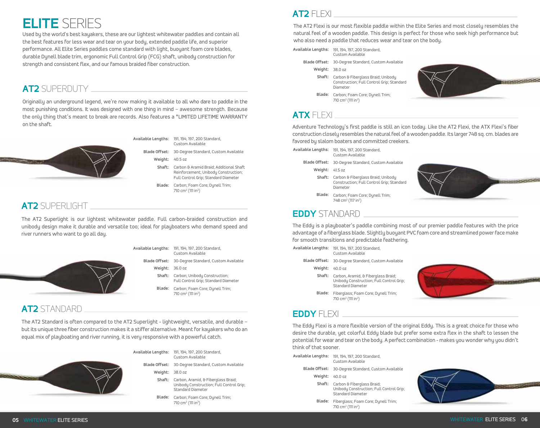# **ELITE** SERIES

Used by the world's best kayakers, these are our lightest whitewater paddles and contain all the best features for less wear and tear on your body, extended paddle life, and superior performance. All Elite Series paddles come standard with light, buoyant foam core blades, durable Dynell blade trim, ergonomic Full Control Grip (FCG) shaft, unibody construction for strength and consistent flex, and our famous braided fiber construction.

## **AT2** SUPERDUTY

Originally an underground legend, we're now making it available to all who dare to paddle in the most punishing conditions. It was designed with one thing in mind – awesome strength. Because the only thing that's meant to break are records. Also features a \*LIMITED LIFETIME WARRANTY on the shaft.



**Available Lengths:** 191, 194, 197, 200 Standard, Custom Available

- **Blade Offset:** 30-Degree Standard, Custom Available **Weight:** 40.5 oz
	- **Shaft:**  Carbon & Aramid Braid; Additional Shaft Reinforcement; Unibody Construction; Full Control Grip; Standard Diameter
	- **Blade:**  Carbon; Foam Core; Dynell Trim; 710 cm<sup>2</sup> (111 in<sup>2</sup>)

## **AT2** SUPERLIGHT

The AT2 Superlight is our lightest whitewater paddle. Full carbon-braided construction and unibody design make it durable and versatile too; ideal for playboaters who demand speed and river runners who want to go all day.



**Available Lengths:** 191, 194, 197, 200 Standard, **Blade Offset:** 30-Degree Standard, Custom Available Custom Available

**Weight:** 36.0 oz

- **Shaft:**  Carbon; Unibody Construction; Full Control Grip; Standard Diameter
- **Blade:**  Carbon; Foam Core; Dynell Trim; 710 cm<sup>2</sup> (111 in<sup>2</sup>)

## **AT2** STANDARD

The AT2 Standard is often compared to the AT2 Superlight - lightweight, versatile, and durable – but its unique three fiber construction makes it a stiffer alternative. Meant for kayakers who do an equal mix of playboating and river running, it is very responsive with a powerful catch.



| ilable Lengths: | 191, 194, 197, 200 Standard, |
|-----------------|------------------------------|
|                 | Custom Available             |

- **Blade Offset:** 30-Degree Standard, Custom Available **Weight:** 38.0 oz
	- **Shaft:**  Carbon, Aramid, & Fiberglass Braid; Unibody Construction; Full Control Grip; Standard Diameter
	- **Blade:**  Carbon; Foam Core; Dynell Trim; 710 cm<sup>2</sup> (111 in<sup>2</sup>)

## **AT2** FLEXI

The AT2 Flexi is our most flexible paddle within the Elite Series and most closely resembles the natural feel of a wooden paddle. This design is perfect for those who seek high performance but who also need a paddle that reduces wear and tear on the body.

**Available Lengths:** 191, 194, 197, 200 Standard,

- Custom Available
- **Blade Offset:** 30-Degree Standard, Custom Available

**Blade:**  Carbon; Foam Core; Dynell Trim;

- **Weight:** 38.0 oz
- **Shaft:**  Carbon & Fiberglass Braid; Unibody Construction; Full Control Grip; Standard Diameter



## 710 cm<sup>2</sup> (111 in<sup>2</sup>) **ATX** FLEXI

Adventure Technology's first paddle is still an icon today. Like the AT2 Flexi, the ATX Flexi's fiber construction closely resembles the natural feel of a wooden paddle. Its larger 748 sq. cm. blades are favored by slalom boaters and committed creekers.

| Available Lengths: | 191, 194, 197, 200 Standard,<br>Custom Available |  |  |  |  |
|--------------------|--------------------------------------------------|--|--|--|--|
| Blade Offset:      | 30-Degree Standard, Custom Available             |  |  |  |  |

- **Weight:** 41.5 oz
- **Shaft:**  Carbon & Fiberglass Braid; Unibody Construction; Full Control Grip; Standard Diameter
- **Blade:**  Carbon; Foam Core; Dynell Trim; 748 cm<sup>2</sup> (117 in<sup>2</sup>)



## **EDDY** STANDARD

The Eddy is a playboater's paddle combining most of our premier paddle features with the price advantage of a fiberglass blade. Slightly buoyant PVC foam core and streamlined power face make for smooth transitions and predictable feathering.

| Available Lengths: | 191, 194, 197, 200 Standard,<br>Custom Available                                                     |
|--------------------|------------------------------------------------------------------------------------------------------|
|                    | Blade Offset: 30-Degree Standard, Custom Available                                                   |
| Weight:            | 40.0 oz                                                                                              |
| Shaft:             | Carbon, Aramid, & Fiberglass Braid;<br>Unibody Construction; Full Control Grip;<br>Standard Diameter |
| Blade:             | Fiberglass; Foam Core; Dynell Trim;<br>710 cm <sup>2</sup> (111 in <sup>2</sup> )                    |
|                    |                                                                                                      |



## **EDDY FLEXI**

The Eddy Flexi is a more flexible version of the original Eddy. This is a great choice for those who desire the durable, yet colorful Eddy blade but prefer some extra flex in the shaft to lessen the potential for wear and tear on the body. A perfect combination - makes you wonder why you didn't think of that sooner.

| Available Lengths: | 191, 194, 197, 200 Standard,<br>Custom Available                                                          |
|--------------------|-----------------------------------------------------------------------------------------------------------|
|                    | Blade Offset: 30-Degree Standard, Custom Available                                                        |
| Weight:            | 40.0 oz                                                                                                   |
|                    | Shaft: Carbon & Fiberglass Braid;<br>Unibody Construction; Full Control Grip;<br><b>Standard Diameter</b> |
| Blade:             | Fiberglass; Foam Core; Dynell Trim;<br>710 cm <sup>2</sup> (111 in <sup>2</sup> )                         |

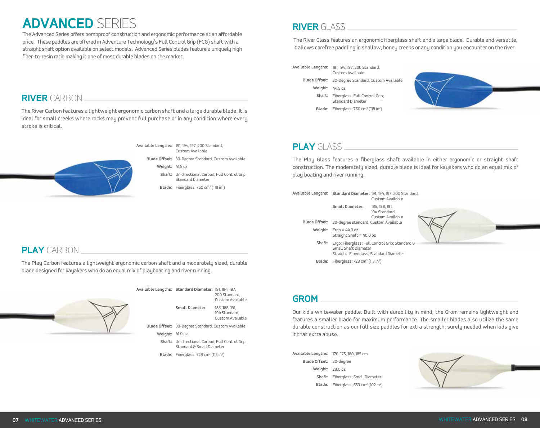# **ADVANCED** SERIES **RIVER** GLASS

The Advanced Series offers bombproof construction and ergonomic performance at an affordable price. These paddles are offered in Adventure Technology's Full Control Grip (FCG) shaft with a straight shaft option available on select models. Advanced Series blades feature a uniquely high fiber-to-resin ratio making it one of most durable blades on the market.

## **RIVER** CARBON

The River Carbon features a lightweight ergonomic carbon shaft and a large durable blade. It is ideal for small creeks where rocks may prevent full purchase or in any condition where every stroke is critical.

> **Available Lengths:** 191, 194, 197, 200 Standard, Custom Available



**Blade Offset:** 30-Degree Standard, Custom Available

**Weight:** 41.5 oz

**Shaft:**  Unidirectional Carbon; Full Control Grip; Standard Diameter

**Blade:** Fiberglass; 760 cm<sup>2</sup> (118 in<sup>2</sup>)

The River Glass features an ergonomic fiberglass shaft and a large blade. Durable and versatile, it allows carefree paddling in shallow, boney creeks or any condition you encounter on the river.

**Available Lengths:** 191, 194, 197, 200 Standard, Custom Available

- **Blade Offset:** 30-Degree Standard, Custom Available
	- **Weight:** 44.5 oz
	- **Shaft:**  Fiberglass; Full Control Grip; Standard Diameter
	- Blade: Fiberglass; 760 cm<sup>2</sup> (118 in<sup>2</sup>)



## **PLAY** GLASS

The Play Glass features a fiberglass shaft available in either ergonomic or straight shaft construction. The moderately sized, durable blade is ideal for kayakers who do an equal mix of play boating and river running.

Custom Available

**Available Lengths: Standard Diameter:** 191, 194, 197, 200 Standard,

**Blade Offset:** 30-degree standard, Custom Available **Weight:** Ergo = 44.0 oz. **Small Diameter:** 185, 188, 191, 194 Standard, Custom Available Straight Shaft = 40.0 oz

- **Shaft:**  Ergo: Fiberglass; Full Control Grip; Standard & Small Shaft Diameter Straight: Fiberglass; Standard Diameter
- **Blade:** Fiberglass; 728 cm<sup>2</sup> (113 in<sup>2</sup>)

## **PLAY** CARBON

The Play Carbon features a lightweight ergonomic carbon shaft and a moderately sized, durable blade designed for kayakers who do an equal mix of playboating and river running.



**Available Lengths: Standard Diameter**: 191, 194, 197, 200 Standard, Custom Available **Small Diameter:** 185, 188, 191, 194 Standard,

Custom Available

**Blade Offset:** 30-Degree Standard, Custom Available

**Weight:** 41.0 oz

**Shaft:**  Unidirectional Carbon; Full Control Grip; Standard & Small Diameter

**Blade:** Fiberglass; 728 cm<sup>2</sup> (113 in<sup>2</sup>)

## **GROM**

Our kid's whitewater paddle. Built with durability in mind, the Grom remains lightweight and features a smaller blade for maximum performance. The smaller blades also utilize the same durable construction as our full size paddles for extra strength; surely needed when kids give it that extra abuse.

**Available Lengths:** 170, 175, 180, 185 cm **Blade Offset:** 30-degree **Weight:** 28.0 oz **Shaft:**  Fiberglass; Small Diameter **Blade:** Fiberglass; 653 cm<sup>2</sup> (102 in<sup>2</sup>)

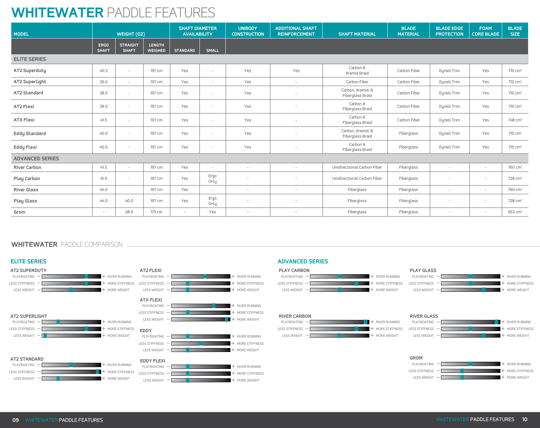# **WHITEWATER** PADDLE FEATURES

| <b>MODEL</b>           | WEIGHT (OZ)                 |                                 | <b>SHAFT DIAMETER</b><br><b>AVAILABILITY</b> |                          | <b>UNIBODY</b><br><b>CONSTRUCTION</b> | <b>ADDITIONAL SHAFT</b><br><b>REINFORCEMENT</b> | <b>SHAFT MATERIAL</b>    | <b>BLADE</b><br><b>MATERIAL</b>       | <b>BLADE EDGE</b><br><b>PROTECTION</b> | <b>FOAM</b><br><b>CORE BLADE</b> | <b>BLADE</b><br><b>SIZE</b> |                     |
|------------------------|-----------------------------|---------------------------------|----------------------------------------------|--------------------------|---------------------------------------|-------------------------------------------------|--------------------------|---------------------------------------|----------------------------------------|----------------------------------|-----------------------------|---------------------|
|                        | <b>ERGO</b><br><b>SHAFT</b> | <b>STRAIGHT</b><br><b>SHAFT</b> | <b>LENGTH</b><br><b>WEIGHED</b>              | <b>STANDARD</b>          | <b>SMALL</b>                          |                                                 |                          |                                       |                                        |                                  |                             |                     |
| <b>ELITE SERIES</b>    |                             |                                 |                                              |                          |                                       |                                                 |                          |                                       |                                        |                                  |                             |                     |
| AT2 Superduty          | 40.5                        | $\overline{\phantom{a}}$        | 197 cm                                       | Yes                      | $\sim$                                | Yes                                             | Yes                      | Carbon &<br>Aramid Braid              | Carbon Fiber                           | Dynell Trim                      | Yes                         | $710 \text{ cm}^2$  |
| AT2 Superlight         | 36.0                        | $\overline{\phantom{a}}$        | 197 cm                                       | Yes                      | $\sim$                                | Yes                                             | $\sim$                   | Carbon Fiber                          | Carbon Fiber                           | Dynell Trim                      | Yes                         | $710 \text{ cm}^2$  |
| <b>AT2 Standard</b>    | 38.0                        | $\overline{\phantom{a}}$        | 197 cm                                       | Yes                      | $\sim$                                | Yes                                             | $\overline{\phantom{a}}$ | Carbon, Aramid, &<br>Fiberglass Braid | Carbon Fiber                           | Dynell Trim                      | Yes                         | $710 \text{ cm}^2$  |
| AT2 Flexi              | 38.0                        | $\overline{\phantom{a}}$        | 197 cm                                       | Yes                      | $\sim$                                | Yes                                             | $\overline{\phantom{a}}$ | Carbon &<br>Fiberglass Braid          | Carbon Fiber                           | Dynell Trim                      | Yes                         | $710 \text{ cm}^2$  |
| <b>ATX Flexi</b>       | 41.5                        | $\overline{\phantom{a}}$        | 197 cm                                       | Yes                      | $\sim$                                | Yes                                             |                          | Carbon &<br>Fiberglass Braid          | Carbon Fiber                           | Dynell Trim                      | Yes                         | 748 cm <sup>2</sup> |
| <b>Eddy Standard</b>   | 40.0                        | $\overline{\phantom{a}}$        | 197 cm                                       | Yes                      | $\sim$                                | Yes                                             |                          | Carbon, Aramid, &<br>Fiberglass Braid | Fiberglass                             | Dynell Trim                      | Yes                         | $710 \text{ cm}^2$  |
| <b>Eddy Flexi</b>      | 40.0                        | $\overline{\phantom{0}}$        | 197 cm                                       | Yes                      | $\sim$                                | Yes                                             |                          | Carbon &<br>Fiberglass Braid          | Fiberglass                             | Dynell Trim                      | Yes                         | $710 \text{ cm}^2$  |
| <b>ADVANCED SERIES</b> |                             |                                 |                                              |                          |                                       |                                                 |                          |                                       |                                        |                                  |                             |                     |
| <b>River Carbon</b>    | 41.5                        | $\overline{\phantom{a}}$        | 197 cm                                       | Yes                      | $\sim$                                | $\overline{\phantom{a}}$                        | $\overline{\phantom{a}}$ | Unidirectional Carbon Fiber           | Fiberglass                             | $\overline{\phantom{0}}$         | $\sim$                      | 760 cm <sup>2</sup> |
| <b>Play Carbon</b>     | 41.0                        | $\overline{\phantom{a}}$        | 197 cm                                       | Yes                      | Ergo<br>Only                          |                                                 |                          | Unidirectional Carbon Fiber           | Fiberglass                             |                                  | $\sim$                      | 728 cm <sup>2</sup> |
| <b>River Glass</b>     | 44.5                        |                                 | 197 cm                                       | Yes                      | $\sim$                                | $\overline{\phantom{a}}$                        | $\overline{\phantom{a}}$ | Fiberglass                            | Fiberglass                             | $\overline{\phantom{a}}$         | $\sim$                      | 760 cm <sup>2</sup> |
| <b>Play Glass</b>      | 44.0                        | 40.0                            | 197 cm                                       | Yes                      | Ergo<br>Only                          |                                                 |                          | Fiberglass                            | Fiberglass                             |                                  | $\sim$                      | 728 cm <sup>2</sup> |
| Grom                   | $\overline{\phantom{a}}$    | 28.0                            | 175 cm                                       | $\overline{\phantom{a}}$ | Yes                                   | $\overline{\phantom{a}}$                        | $\overline{\phantom{a}}$ | Fiberglass                            | Fiberglass                             |                                  | $\sim$                      | 653 cm <sup>2</sup> |

## **WHITEWATER** PADDLE COMPARISON

### **ELITE SERIES**

LESS STIFFNESS  $-\Box$ 



— **+ MORE STIFFNESS** 

 $+$  MORE WEIGHT



#### **ADVANCED SERIES**





LESS WEIGHT



#### **RIVER CARBON**  $PLAYBOATING -$ LESS STIFFNESS  $-\Box$



#### **RIVER GLASS** PLAYBOATING -LESS STIFFNESS -RIVER RUNNING MORE STIFFNESS — + — +

— +

MORE WEIGHT



LESS WEIGHT  $-\sqrt{2}$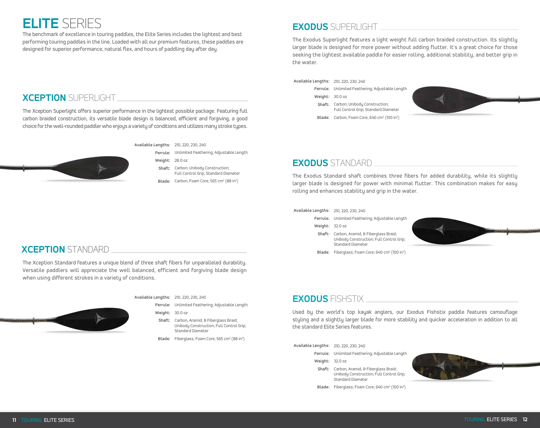# **ELITE** SERIES

The benchmark of excellence in touring paddles, the Elite Series includes the lightest and best performing touring paddles in the line. Loaded with all our premium features, these paddles are designed for superior performance, natural flex, and hours of paddling day after day.

## **EXODUS** SUPERLIGHT

The Exodus Superlight features a light weight full carbon braided construction. Its slightly larger blade is designed for more power without adding flutter. It's a great choice for those seeking the lightest available paddle for easier rolling, additional stability, and better grip in the water.

#### **Available Lengths:** 210, 220, 230, 240

**Ferrule:** Unlimited Feathering; Adjustable Length **Weight:** 30.0 oz **Shaft:**  Carbon; Unibody Construction;

Full Control Grip; Standard Diameter

Blade: Carbon; Foam Core; 640 cm<sup>2</sup> (100 in<sup>2</sup>)



## **EXODUS** STANDARD

The Exodus Standard shaft combines three fibers for added durability, while its slightly larger blade is designed for power with minimal flutter. This combination makes for easy rolling and enhances stability and grip in the water.

#### **Available Lengths:** 210, 220, 230, 240

- **Ferrule:** Unlimited Feathering; Adjustable Length
- **Weight:** 32.0 oz
- **Shaft:**  Carbon, Aramid, & Fiberglass Braid; Unibody Construction; Full Control Grip; Standard Diameter



Blade: Fiberglass; Foam Core; 640 cm<sup>2</sup> (100 in<sup>2</sup>)



Used by the world's top kayak anglers, our Exodus Fishstix paddle features camouflage styling and a slightly larger blade for more stability and quicker acceleration in addition to all the standard Elite Series features.

**Available Lengths:** 210, 220, 230, 240

**Ferrule:** Unlimited Feathering; Adjustable Length

- **Weight:** 32.0 oz
- **Shaft:**  Carbon, Aramid, & Fiberglass Braid; Unibody Construction; Full Control Grip; Standard Diameter
- Blade: Fiberglass; Foam Core; 640 cm<sup>2</sup> (100 in<sup>2</sup>)



## **XCEPTION** SUPERLIGHT

The Xception Superlight offers superior performance in the lightest possible package. Featuring full carbon braided construction, its versatile blade design is balanced, efficient and forgiving, a good choice for the well-rounded paddler who enjoys a variety of conditions and utilizes many stroke types.



**Available Lengths:** 210, 220, 230, 240

**Ferrule:** Unlimited Feathering; Adjustable Length

**Weight:** 28.0 oz

- **Shaft:**  Carbon; Unibody Construction; Full Control Grip; Standard Diameter
- Blade: Carbon; Foam Core; 565 cm<sup>2</sup> (88 in<sup>2</sup>)

## **XCEPTION** STANDARD

The Xception Standard features a unique blend of three shaft fibers for unparalleled durability. Versatile paddlers will appreciate the well balanced, efficient and forgiving blade design when using different strokes in a variety of conditions.



**Available Lengths:** 210, 220, 230, 240

**Ferrule:** Unlimited Feathering; Adjustable Length

**Weight:** 30.0 oz

**Shaft:**  Carbon, Aramid, & Fiberglass Braid; Unibody Construction; Full Control Grip; Standard Diameter

**Blade:** Fiberglass; Foam Core; 565 cm<sup>2</sup> (88 in<sup>2</sup>)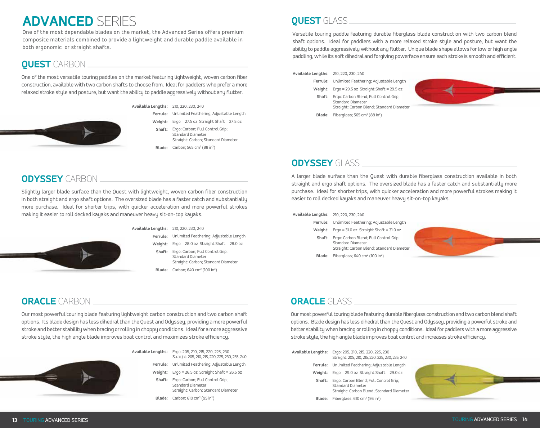# **ADVANCED** SERIES

One of the most dependable blades on the market, the Advanced Series offers premium composite materials combined to provide a lightweight and durable paddle available in both ergonomic or straight shafts.

## **QUEST** CARBON

One of the most versatile touring paddles on the market featuring lightweight, woven carbon fiber construction, available with two carbon shafts to choose from. Ideal for paddlers who prefer a more relaxed stroke style and posture, but want the ability to paddle aggressively without any flutter.



- **Available Lengths:** 210, 220, 230, 240
	- **Ferrule:** Unlimited Feathering; Adjustable Length **Weight:** Ergo = 27.5 oz Straight Shaft = 27.5 oz
		- **Shaft:** Ergo: Carbon; Full Control Grip; Standard Diameter Straight: Carbon; Standard Diameter
		- **Blade:** Carbon; 565 cm<sup>2</sup> (88 in<sup>2</sup>)

## **ODYSSEY** CARBON

Slightly larger blade surface than the Quest with lightweight, woven carbon fiber construction in both straight and ergo shaft options. The oversized blade has a faster catch and substantially more purchase. Ideal for shorter trips, with quicker acceleration and more powerful strokes making it easier to roll decked kayaks and maneuver heavy sit-on-top kayaks.



#### **Available Lengths:** 210, 220, 230, 240

**Ferrule:** Unlimited Feathering; Adjustable Length **Weight:** Ergo = 28.0 oz Straight Shaft = 28.0 oz **Shaft:** Ergo: Carbon; Full Control Grip; **Blade:** Carbon; 640 cm<sup>2</sup> (100 in<sup>2</sup>) Standard Diameter Straight: Carbon; Standard Diameter

## **QUEST** GLASS

Versatile touring paddle featuring durable fiberglass blade construction with two carbon blend shaft options. Ideal for paddlers with a more relaxed stroke style and posture, but want the ability to paddle aggressively without any flutter. Unique blade shape allows for low or high angle paddling, while its soft dihedral and forgiving powerface ensure each stroke is smooth and efficient.

### **Available Lengths:** 210, 220, 230, 240

- **Ferrule:** Unlimited Feathering; Adjustable Length **Weight:** Ergo = 29.5 oz Straight Shaft = 29.5 oz **Shaft:** Ergo: Carbon Blend; Full Control Grip;
	- Standard Diameter Straight: Carbon Blend; Standard Diameter



**Blade:** Fiberglass;  $565 \text{ cm}^2 \text{ (88 in}^2)$ 

## **ODYSSEY** GLASS

A larger blade surface than the Quest with durable fiberglass construction available in both straight and ergo shaft options. The oversized blade has a faster catch and substantially more purchase. Ideal for shorter trips, with quicker acceleration and more powerful strokes making it easier to roll decked kayaks and maneuver heavy sit-on-top kayaks.

#### **Available Lengths:** 210, 220, 230, 240

- **Ferrule:** Unlimited Feathering; Adjustable Length
- **Weight:** Ergo = 31.0 oz Straight Shaft = 31.0 oz

**Blade:** Fiberglass; 640 cm<sup>2</sup> (100 in<sup>2</sup>)

**Shaft:**  Ergo: Carbon Blend; Full Control Grip; Standard Diameter Straight: Carbon Blend; Standard Diameter



## **ORACLE** CARBON

Our most powerful touring blade featuring lightweight carbon construction and two carbon shaft options. Its blade design has less dihedral than the Quest and Odyssey, providing a more powerful stroke and better stability when bracing or rolling in choppy conditions. Ideal for a more aggressive stroke style, the high angle blade improves boat control and maximizes stroke efficiency.



**Available Lengths:** Ergo: 205, 210, 215, 220, 225, 230 Straight: 205, 210, 215, 220, 225, 230, 235, 240

- **Ferrule:** Unlimited Feathering; Adjustable Length
- **Weight:** Ergo = 26.5 oz Straight Shaft = 26.5 oz
- **Shaft:**  Ergo: Carbon; Full Control Grip; Standard Diameter Straight: Carbon; Standard Diameter

**Blade:** Carbon; 610 cm<sup>2</sup> (95 in<sup>2</sup>)

## **ORACLE** GLASS

Our most powerful touring blade featuring durable fiberglass construction and two carbon blend shaft options. Blade design has less dihedral than the Quest and Odyssey, providing a powerful stroke and better stability when bracing or rolling in choppy conditions. Ideal for paddlers with a more aggressive stroke style, the high angle blade improves boat control and increases stroke efficiency.

**Available Lengths:** Ergo: 205, 210, 215, 220, 225, 230 **Ferrule:** Unlimited Feathering; Adjustable Length **Weight:** Ergo = 29.0 oz Straight Shaft = 29.0 oz **Shaft:**  Ergo: Carbon Blend; Full Control Grip; Blade: Fiberglass; 610 cm<sup>2</sup> (95 in<sup>2</sup>) Straight: 205, 210, 215, 220, 225, 230, 235, 240 Standard Diameter Straight: Carbon Blend; Standard Diameter

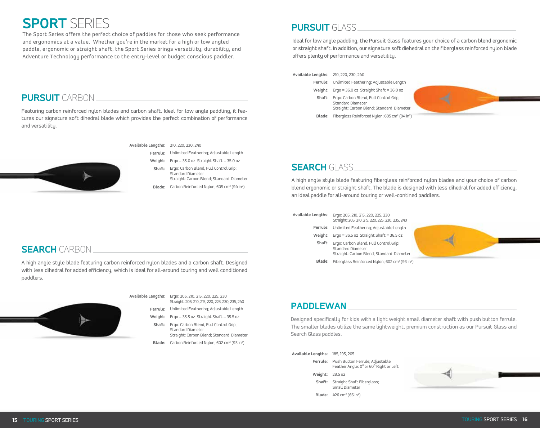# **SPORT** SERIES

**PURSUIT** CARBON

and versatility.

The Sport Series offers the perfect choice of paddles for those who seek performance and ergonomics at a value. Whether you're in the market for a high or low angled paddle, ergonomic or straight shaft, the Sport Series brings versatility, durability, and Adventure Technology performance to the entry-level or budget conscious paddler.

Featuring carbon reinforced nylon blades and carbon shaft. Ideal for low angle paddling, it features our signature soft dihedral blade which provides the perfect combination of performance

## **PURSUIT** GLASS

Ideal for low angle paddling, the Pursuit Glass features your choice of a carbon blend ergonomic or straight shaft. In addition, our signature soft diehedral on the fiberglass reinforced nylon blade offers plenty of performance and versatility.

#### **Available Lengths:** 210, 220, 230, 240

- **Ferrule:** Unlimited Feathering; Adjustable Length
- **Weight:** Ergo = 36.0 oz Straight Shaft = 36.0 oz
- **Shaft:** Ergo: Carbon Blend, Full Control Grip; Standard Diameter Straight: Carbon Blend; Standard Diameter







#### **Available Lengths:** 210, 220, 230, 240

**Ferrule:** Unlimited Feathering; Adjustable Length

- **Weight:** Ergo = 35.0 oz Straight Shaft = 35.0 oz
- **Shaft:**  Ergo: Carbon Blend, Full Control Grip; Standard Diameter Straight: Carbon Blend; Standard Diameter
- Blade: Carbon Reinforced Nylon; 605 cm<sup>2</sup> (94 in<sup>2</sup>)

## **SEARCH** GLASS

A high angle style blade featuring fiberglass reinforced nylon blades and your choice of carbon blend ergonomic or straight shaft. The blade is designed with less dihedral for added efficiency, an ideal paddle for all-around touring or well-contined paddlers.

- **Available Lengths:** Ergo: 205, 210, 215, 220, 225, 230 Straight: 205, 210, 215, 220, 225, 230, 235, 240
	- **Ferrule:** Unlimited Feathering; Adjustable Length
		- **Weight:** Ergo = 36.5 oz Straight Shaft = 36.5 oz
			- **Shaft:**  Ergo: Carbon Blend, Full Control Grip; Standard Diameter Straight: Carbon Blend; Standard Diameter



## **SEARCH** CARBON

A high angle style blade featuring carbon reinforced nylon blades and a carbon shaft. Designed with less dihedral for added efficiency, which is ideal for all-around touring and well conditioned paddlers.



**Available Lengths:** Ergo: 205, 210, 215, 220, 225, 230

- **Ferrule:** Unlimited Feathering; Adjustable Length Straight: 205, 210, 215, 220, 225, 230, 235, 240
- **Weight:** Ergo = 35.5 oz Straight Shaft = 35.5 oz
- **Shaft:**  Ergo: Carbon Blend, Full Control Grip; Standard Diameter Straight: Carbon Blend; Standard Diameter

#### Blade: Carbon Reinforced Nylon; 602 cm<sup>2</sup> (93 in<sup>2</sup>)

## **PADDLEWAN**

Designed specifically for kids with a light weight small diameter shaft with push button ferrule. The smaller blades utilize the same lightweight, premium construction as our Pursuit Glass and Search Glass paddles.

| Available Lengths: 185, 195, 205 |                                                                                    |
|----------------------------------|------------------------------------------------------------------------------------|
|                                  | Ferrule: Push Button Ferrule; Adjustable<br>Feather Angle: 0° or 60° Right or Left |
| Weight: 28.5 oz                  |                                                                                    |
|                                  | <b>Shaft:</b> Straight Shaft Fiberglass;<br>Small Diameter                         |
|                                  | <b>Blade:</b> 426 cm <sup>2</sup> (66 in <sup>2</sup> )                            |
|                                  |                                                                                    |

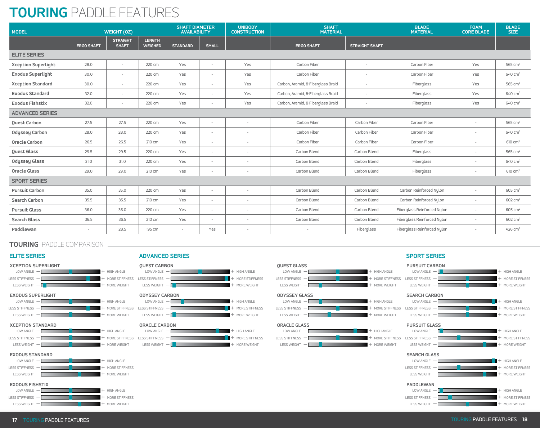# **TOURING** PADDLE FEATURES

| <b>MODEL</b>               | WEIGHT (0Z)              |                                 | <b>SHAFT DIAMETER</b><br><b>AVAILABILITY</b> |                 | <b>UNIBODY</b><br><b>CONSTRUCTION</b> | <b>SHAFT</b><br><b>MATERIAL</b> |                                    | <b>BLADE</b><br><b>MATERIAL</b> | <b>FOAM</b><br><b>CORE BLADE</b> | <b>BLADE</b><br>SIZE     |                       |
|----------------------------|--------------------------|---------------------------------|----------------------------------------------|-----------------|---------------------------------------|---------------------------------|------------------------------------|---------------------------------|----------------------------------|--------------------------|-----------------------|
|                            | <b>ERGO SHAFT</b>        | <b>STRAIGHT</b><br><b>SHAFT</b> | <b>LENGTH</b><br><b>WEIGHED</b>              | <b>STANDARD</b> | <b>SMALL</b>                          |                                 | <b>ERGO SHAFT</b>                  | <b>STRAIGHT SHAFT</b>           |                                  |                          |                       |
| <b>ELITE SERIES</b>        |                          |                                 |                                              |                 |                                       |                                 |                                    |                                 |                                  |                          |                       |
| <b>Xception Superlight</b> | 28.0                     | $\overline{\phantom{a}}$        | 220 cm                                       | Yes             | $\sim$                                | Yes                             | Carbon Fiber                       | $\overline{\phantom{a}}$        | Carbon Fiber                     | Yes                      | 565 $cm2$             |
| <b>Exodus Superlight</b>   | 30.0                     | $\sim$                          | 220 cm                                       | Yes             | $\overline{\phantom{a}}$              | Yes                             | Carbon Fiber                       | $\overline{\phantom{a}}$        | Carbon Fiber                     | Yes                      | 640 cm <sup>2</sup>   |
| <b>Xception Standard</b>   | 30.0                     | $\overline{\phantom{a}}$        | 220 cm                                       | Yes             | $\sim$                                | Yes                             | Carbon, Aramid, & Fiberglass Braid | $\overline{\phantom{a}}$        | Fiberglass                       | Yes                      | 565 cm <sup>2</sup>   |
| <b>Exodus Standard</b>     | 32.0                     | $\overline{\phantom{a}}$        | 220 cm                                       | Yes             | $\overline{\phantom{a}}$              | Yes                             | Carbon, Aramid, & Fiberglass Braid | $\overline{\phantom{a}}$        | Fiberglass                       | Yes                      | $640 \text{ cm}^2$    |
| <b>Exodus Fishstix</b>     | 32.0                     | $\overline{\phantom{a}}$        | 220 cm                                       | Yes             | $\overline{\phantom{a}}$              | Yes                             | Carbon, Aramid, & Fiberglass Braid | $\overline{\phantom{a}}$        | Fiberglass                       | Yes                      | 640 cm <sup>2</sup>   |
| <b>ADVANCED SERIES</b>     |                          |                                 |                                              |                 |                                       |                                 |                                    |                                 |                                  |                          |                       |
| <b>Ouest Carbon</b>        | 27.5                     | 27.5                            | 220 cm                                       | Yes             | $\sim$                                | $\overline{\phantom{a}}$        | Carbon Fiber                       | Carbon Fiber                    | Carbon Fiber                     | $\overline{\phantom{0}}$ | 565 cm <sup>2</sup>   |
| <b>Odyssey Carbon</b>      | 28.0                     | 28.0                            | 220 cm                                       | Yes             | $\sim$                                | $\overline{\phantom{a}}$        | Carbon Fiber                       | Carbon Fiber                    | Carbon Fiber                     |                          | 640 cm <sup>2</sup>   |
| <b>Oracle Carbon</b>       | 26.5                     | 26.5                            | 210 cm                                       | Yes             | $\overline{\phantom{a}}$              | $\overline{\phantom{a}}$        | Carbon Fiber                       | Carbon Fiber                    | Carbon Fiber                     | $\overline{\phantom{a}}$ | 610 cm <sup>2</sup>   |
| Quest Glass                | 29.5                     | 29.5                            | 220 cm                                       | Yes             | $\sim$                                | $\overline{\phantom{a}}$        | Carbon Blend                       | Carbon Blend                    | Fiberglass                       |                          | 565 cm <sup>2</sup>   |
| <b>Odyssey Glass</b>       | 31.0                     | 31.0                            | 220 cm                                       | Yes             | $\overline{\phantom{a}}$              | $\overline{\phantom{a}}$        | Carbon Blend                       | Carbon Blend                    | Fiberglass                       | $\overline{\phantom{a}}$ | 640 cm <sup>2</sup>   |
| <b>Oracle Glass</b>        | 29.0                     | 29.0                            | 210 cm                                       | Yes             | $\overline{\phantom{a}}$              | $\overline{\phantom{a}}$        | Carbon Blend                       | Carbon Blend                    | Fiberglass                       | $\overline{\phantom{a}}$ | $610 \text{ cm}^2$    |
| <b>SPORT SERIES</b>        |                          |                                 |                                              |                 |                                       |                                 |                                    |                                 |                                  |                          |                       |
| <b>Pursuit Carbon</b>      | 35.0                     | 35.0                            | 220 cm                                       | Yes             | $\overline{\phantom{a}}$              | $\overline{\phantom{a}}$        | Carbon Blend                       | Carbon Blend                    | Carbon Reinforced Nulon          | $\overline{\phantom{0}}$ | $605 \text{ cm}^2$    |
| Search Carbon              | 35.5                     | 35.5                            | 210 cm                                       | Yes             | $\overline{\phantom{a}}$              | $\overline{\phantom{a}}$        | Carbon Blend                       | Carbon Blend                    | Carbon Reinforced Nulon          | $\overline{\phantom{a}}$ | 602 cm <sup>2</sup>   |
| <b>Pursuit Glass</b>       | 36.0                     | 36.0                            | 220 cm                                       | Yes             | $\sim$                                | $\overline{\phantom{a}}$        | Carbon Blend                       | Carbon Blend                    | Fiberglass Reinforced Nylon      | $\sim$                   | $605 \text{ cm}^2$    |
| <b>Search Glass</b>        | 36.5                     | 36.5                            | 210 cm                                       | Yes             | $\overline{\phantom{a}}$              | $\overline{\phantom{a}}$        | Carbon Blend                       | Carbon Blend                    | Fiberglass Reinforced Nylon      | $\overline{\phantom{0}}$ | 602 cm <sup>2</sup>   |
| Paddlewan                  | $\overline{\phantom{a}}$ | 28.5                            | 195 cm                                       |                 | Yes                                   | $\overline{\phantom{a}}$        | $\overline{\phantom{a}}$           | Fiberglass                      | Fiberglass Reinforced Nylon      |                          | $426$ cm <sup>2</sup> |

## **TOURING** PADDLE COMPARISON















### **EXODUS FISHSTIX**



#### **ELITE SERIES SPORT SERIES ADVANCED SERIES**